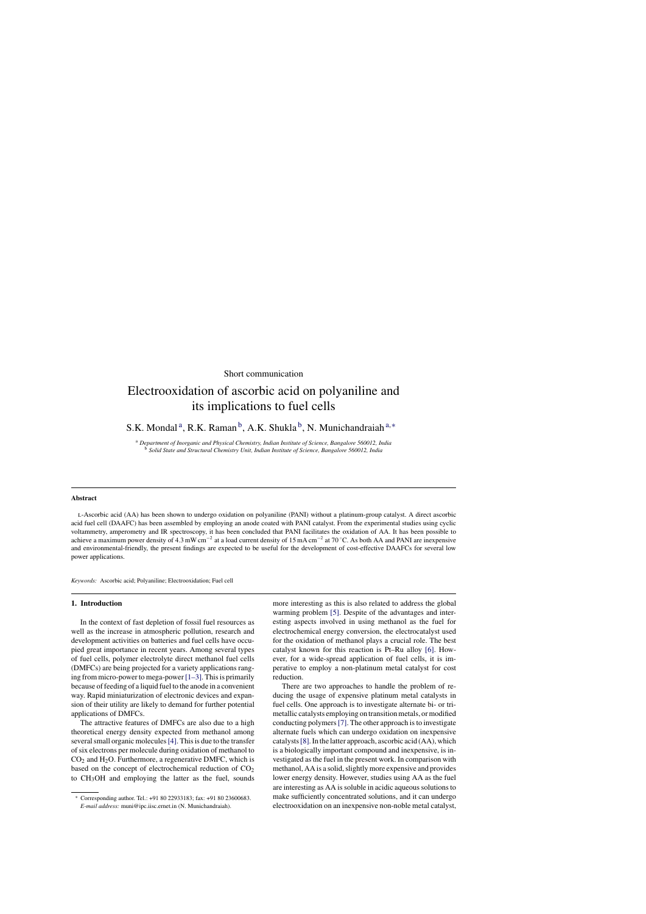## Short communication

# Electrooxidation of ascorbic acid on polyaniline and its implications to fuel cells

S.K. Mondal<sup>a</sup>, R.K. Raman<sup>b</sup>, A.K. Shukla<sup>b</sup>, N. Munichandraiah<sup>a,\*</sup>

<sup>a</sup> *Department of Inorganic and Physical Chemistry, Indian Institute of Science, Bangalore 560012, India* <sup>b</sup> *Solid State and Structural Chemistry Unit, Indian Institute of Science, Bangalore 560012, India*

#### **Abstract**

l-Ascorbic acid (AA) has been shown to undergo oxidation on polyaniline (PANI) without a platinum-group catalyst. A direct ascorbic acid fuel cell (DAAFC) has been assembled by employing an anode coated with PANI catalyst. From the experimental studies using cyclic voltammetry, amperometry and IR spectroscopy, it has been concluded that PANI facilitates the oxidation of AA. It has been possible to achieve a maximum power density of 4.3 mW cm<sup>-2</sup> at a load current density of 15 mA cm<sup>-2</sup> at 70 °C. As both AA and PANI are inexpensive and environmental-friendly, the present findings are expected to be useful for the development of cost-effective DAAFCs for several low power applications.

*Keywords:* Ascorbic acid; Polyaniline; Electrooxidation; Fuel cell

### **1. Introduction**

In the context of fast depletion of fossil fuel resources as well as the increase in atmospheric pollution, research and development activities on batteries and fuel cells have occupied great importance in recent years. Among several types of fuel cells, polymer electrolyte direct methanol fuel cells (DMFCs) are being projected for a variety applications ranging from micro-power to mega-power[1–3]. This is primarily because of feeding of a liquid fuel to the anode in a convenient way. Rapid miniaturization of electronic devices and expansion of their utility are likely to demand for further potential applications of DMFCs.

The attractive features of DMFCs are also due to a high theoretical energy density expected from methanol among several small organic molecules[4]. This is due to the transfer of six electrons per molecule during oxidation of methanol to  $CO<sub>2</sub>$  and H<sub>2</sub>O. Furthermore, a regenerative DMFC, which is based on the concept of electrochemical reduction of  $CO<sub>2</sub>$ to CH3OH and employing the latter as the fuel, sounds

more interesting as this is also related to address the global warming problem [5]. Despite of the advantages and interesting aspects involved in using methanol as the fuel for electrochemical energy conversion, the electrocatalyst used for the oxidation of methanol plays a crucial role. The best catalyst known for this reaction is Pt–Ru alloy [6]. However, for a wide-spread application of fuel cells, it is imperative to employ a non-platinum metal catalyst for cost reduction.

There are two approaches to handle the problem of reducing the usage of expensive platinum metal catalysts in fuel cells. One approach is to investigate alternate bi- or trimetallic catalysts employing on transition metals, or modified conducting polymers[7]. The other approach is to investigate alternate fuels which can undergo oxidation on inexpensive catalysts[8]. In the latter approach, ascorbic acid (AA), which is a biologically important compound and inexpensive, is investigated as the fuel in the present work. In comparison with methanol, AA is a solid, slightly more expensive and provides lower energy density. However, studies using AA as the fuel are interesting as AA is soluble in acidic aqueous solutions to make sufficiently concentrated solutions, and it can undergo electrooxidation on an inexpensive non-noble metal catalyst,

<sup>∗</sup> Corresponding author. Tel.: +91 80 22933183; fax: +91 80 23600683. *E-mail address:* muni@ipc.iisc.ernet.in (N. Munichandraiah).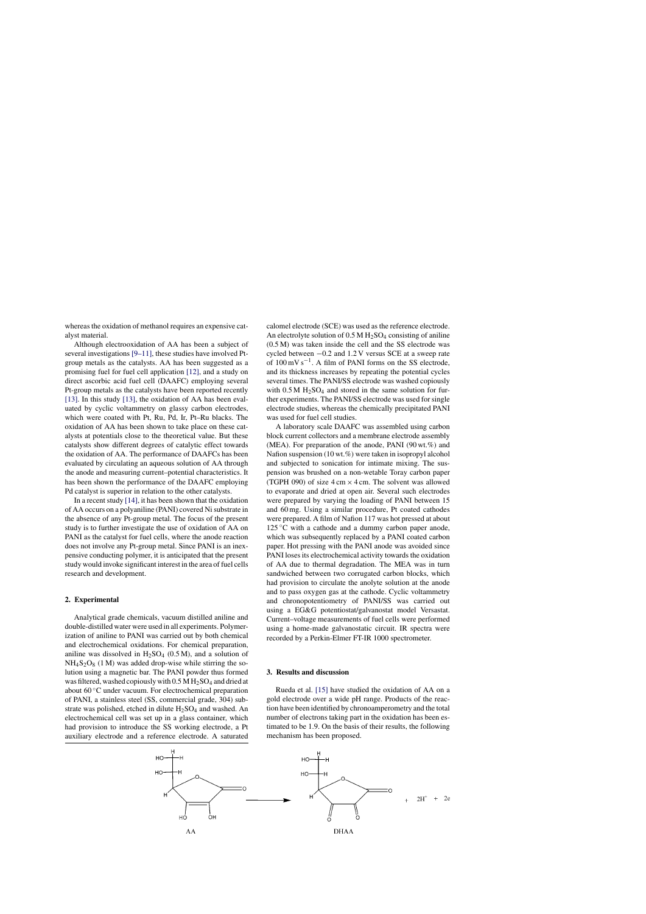whereas the oxidation of methanol requires an expensive catalyst material.

Although electrooxidation of AA has been a subject of several investigations [9–11], these studies have involved Ptgroup metals as the catalysts. AA has been suggested as a promising fuel for fuel cell application [12], and a study on direct ascorbic acid fuel cell (DAAFC) employing several Pt-group metals as the catalysts have been reported recently [13]. In this study [13], the oxidation of AA has been evaluated by cyclic voltammetry on glassy carbon electrodes, which were coated with Pt, Ru, Pd, Ir, Pt–Ru blacks. The oxidation of AA has been shown to take place on these catalysts at potentials close to the theoretical value. But these catalysts show different degrees of catalytic effect towards the oxidation of AA. The performance of DAAFCs has been evaluated by circulating an aqueous solution of AA through the anode and measuring current–potential characteristics. It has been shown the performance of the DAAFC employing Pd catalyst is superior in relation to the other catalysts.

In a recent study [14], it has been shown that the oxidation of AA occurs on a polyaniline (PANI) covered Ni substrate in the absence of any Pt-group metal. The focus of the present study is to further investigate the use of oxidation of AA on PANI as the catalyst for fuel cells, where the anode reaction does not involve any Pt-group metal. Since PANI is an inexpensive conducting polymer, it is anticipated that the present study would invoke significant interest in the area of fuel cells research and development.

## **2. Experimental**

Analytical grade chemicals, vacuum distilled aniline and double-distilled water were used in all experiments. Polymerization of aniline to PANI was carried out by both chemical and electrochemical oxidations. For chemical preparation, aniline was dissolved in  $H_2SO_4$  (0.5 M), and a solution of  $NH<sub>4</sub>S<sub>2</sub>O<sub>8</sub>$  (1 M) was added drop-wise while stirring the solution using a magnetic bar. The PANI powder thus formed was filtered, washed copiously with  $0.5 M H_2SO_4$  and dried at about 60 ◦C under vacuum. For electrochemical preparation of PANI, a stainless steel (SS, commercial grade, 304) substrate was polished, etched in dilute  $H_2SO_4$  and washed. An electrochemical cell was set up in a glass container, which had provision to introduce the SS working electrode, a Pt auxiliary electrode and a reference electrode. A saturated

calomel electrode (SCE) was used as the reference electrode. An electrolyte solution of  $0.5 M H_2SO_4$  consisting of aniline (0.5 M) was taken inside the cell and the SS electrode was cycled between −0.2 and 1.2 V versus SCE at a sweep rate of  $100 \text{ mV s}^{-1}$ . A film of PANI forms on the SS electrode, and its thickness increases by repeating the potential cycles several times. The PANI/SS electrode was washed copiously with  $0.5 M H_2SO_4$  and stored in the same solution for further experiments. The PANI/SS electrode was used for single electrode studies, whereas the chemically precipitated PANI was used for fuel cell studies.

A laboratory scale DAAFC was assembled using carbon block current collectors and a membrane electrode assembly (MEA). For preparation of the anode, PANI (90 wt.%) and Nafion suspension (10 wt.%) were taken in isopropyl alcohol and subjected to sonication for intimate mixing. The suspension was brushed on a non-wetable Toray carbon paper (TGPH 090) of size  $4 \text{ cm} \times 4 \text{ cm}$ . The solvent was allowed to evaporate and dried at open air. Several such electrodes were prepared by varying the loading of PANI between 15 and 60 mg. Using a similar procedure, Pt coated cathodes were prepared. A film of Nafion 117 was hot pressed at about  $125\degree C$  with a cathode and a dummy carbon paper anode, which was subsequently replaced by a PANI coated carbon paper. Hot pressing with the PANI anode was avoided since PANI loses its electrochemical activity towards the oxidation of AA due to thermal degradation. The MEA was in turn sandwiched between two corrugated carbon blocks, which had provision to circulate the anolyte solution at the anode and to pass oxygen gas at the cathode. Cyclic voltammetry and chronopotentiometry of PANI/SS was carried out using a EG&G potentiostat/galvanostat model Versastat. Current–voltage measurements of fuel cells were performed using a home-made galvanostatic circuit. IR spectra were recorded by a Perkin-Elmer FT-IR 1000 spectrometer.

#### **3. Results and discussion**

Rueda et al. [15] have studied the oxidation of AA on a gold electrode over a wide pH range. Products of the reaction have been identified by chronoamperometry and the total number of electrons taking part in the oxidation has been estimated to be 1.9. On the basis of their results, the following mechanism has been proposed.

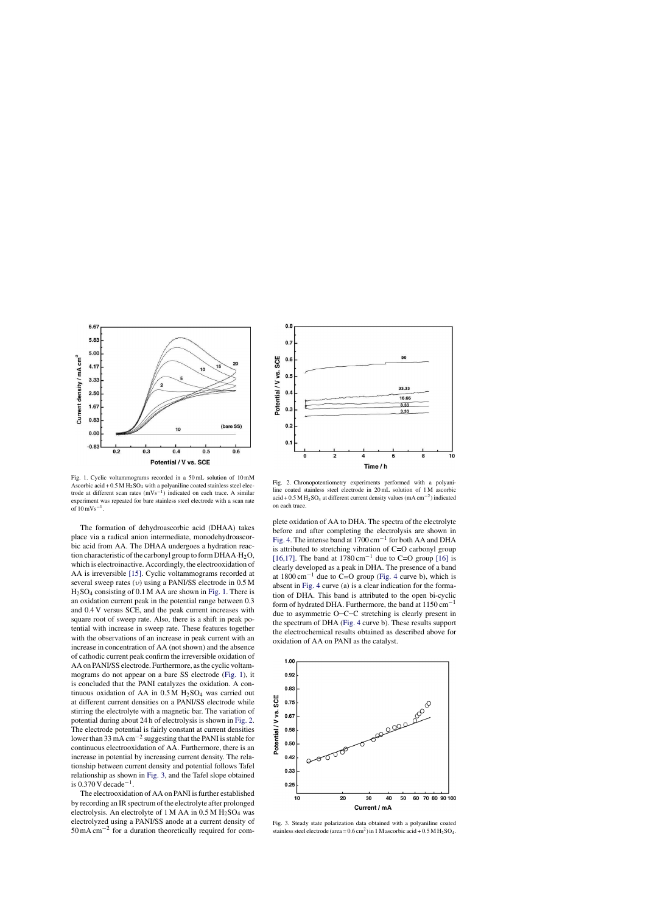

Fig. 1. Cyclic voltammograms recorded in a 50 mL solution of 10 mM Ascorbic acid  $+ 0.5 M H<sub>2</sub>SO<sub>4</sub>$  with a polyaniline coated stainless steel electrode at different scan rates  $(mVs<sup>-1</sup>)$  indicated on each trace. A similar experiment was repeated for bare stainless steel electrode with a scan rate of  $10 \text{ mVs}^{-1}$ .

The formation of dehydroascorbic acid (DHAA) takes place via a radical anion intermediate, monodehydroascorbic acid from AA. The DHAA undergoes a hydration reaction characteristic of the carbonyl group to form DHAA $\cdot$ H<sub>2</sub>O, which is electroinactive. Accordingly, the electrooxidation of AA is irreversible [15]. Cyclic voltammograms recorded at several sweep rates  $(v)$  using a PANI/SS electrode in 0.5 M H2SO<sup>4</sup> consisting of 0.1 M AA are shown in Fig. 1. There is an oxidation current peak in the potential range between 0.3 and 0.4 V versus SCE, and the peak current increases with square root of sweep rate. Also, there is a shift in peak potential with increase in sweep rate. These features together with the observations of an increase in peak current with an increase in concentration of AA (not shown) and the absence of cathodic current peak confirm the irreversible oxidation of AA on PANI/SS electrode. Furthermore, as the cyclic voltammograms do not appear on a bare SS electrode (Fig. 1), it is concluded that the PANI catalyzes the oxidation. A continuous oxidation of AA in  $0.5 M H_2SO_4$  was carried out at different current densities on a PANI/SS electrode while stirring the electrolyte with a magnetic bar. The variation of potential during about 24 h of electrolysis is shown in Fig. 2. The electrode potential is fairly constant at current densities lower than 33 mA cm−<sup>2</sup> suggesting that the PANI is stable for continuous electrooxidation of AA. Furthermore, there is an increase in potential by increasing current density. The relationship between current density and potential follows Tafel relationship as shown in Fig. 3, and the Tafel slope obtained is  $0.370 \text{ V}$  decade<sup>-1</sup>.

The electrooxidation of AA on PANI is further established by recording an IR spectrum of the electrolyte after prolonged electrolysis. An electrolyte of 1 M AA in  $0.5$  M  $H<sub>2</sub>SO<sub>4</sub>$  was electrolyzed using a PANI/SS anode at a current density of 50 mA cm−<sup>2</sup> for a duration theoretically required for com-



Fig. 2. Chronopotentiometry experiments performed with a polyaniline coated stainless steel electrode in 20 mL solution of 1 M ascorbic acid + 0.5 M H<sub>2</sub>SO<sub>4</sub> at different current density values (mA cm<sup>-2</sup>) indicated on each trace.

plete oxidation of AA to DHA. The spectra of the electrolyte before and after completing the electrolysis are shown in Fig. 4. The intense band at 1700 cm−<sup>1</sup> for both AA and DHA is attributed to stretching vibration of  $C = O$  carbonyl group [16,17]. The band at  $1780 \text{ cm}^{-1}$  due to C=O group [16] is clearly developed as a peak in DHA. The presence of a band at  $1800 \text{ cm}^{-1}$  due to C=O group (Fig. 4 curve b), which is absent in Fig. 4 curve (a) is a clear indication for the formation of DHA. This band is attributed to the open bi-cyclic form of hydrated DHA. Furthermore, the band at  $1150 \text{ cm}^{-1}$ due to asymmetric  $O - C - C$  stretching is clearly present in the spectrum of DHA (Fig. 4 curve b). These results support the electrochemical results obtained as described above for oxidation of AA on PANI as the catalyst.



Fig. 3. Steady state polarization data obtained with a polyaniline coated stainless steel electrode (area =  $0.6 \text{ cm}^2$ ) in 1 M ascorbic acid +  $0.5 \text{ M H}_2\text{SO}_4$ .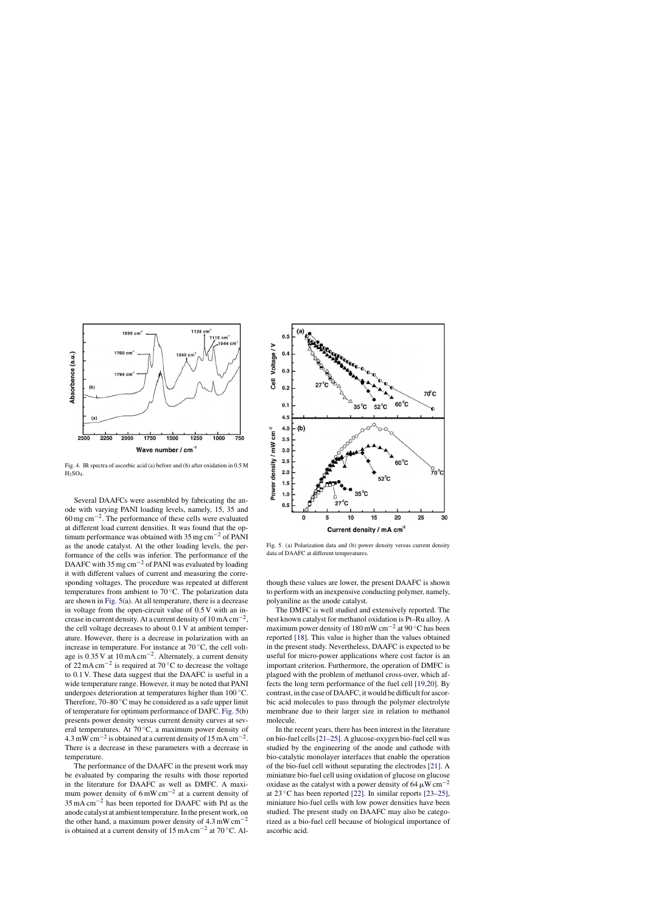

Fig. 4. IR spectra of ascorbic acid (a) before and (b) after oxidation in 0.5 M  $H<sub>2</sub>SO<sub>4</sub>$ .

Several DAAFCs were assembled by fabricating the anode with varying PANI loading levels, namely, 15, 35 and 60 mg cm−<sup>2</sup> . The performance of these cells were evaluated at different load current densities. It was found that the optimum performance was obtained with 35 mg cm<sup> $-2$ </sup> of PANI as the anode catalyst. At the other loading levels, the performance of the cells was inferior. The performance of the DAAFC with 35 mg cm<sup> $-2$ </sup> of PANI was evaluated by loading it with different values of current and measuring the corresponding voltages. The procedure was repeated at different temperatures from ambient to 70 ℃. The polarization data are shown in Fig. 5(a). At all temperature, there is a decrease in voltage from the open-circuit value of 0.5 V with an increase in current density. At a current density of  $10 \text{ mA cm}^{-2}$ , the cell voltage decreases to about 0.1 V at ambient temperature. However, there is a decrease in polarization with an increase in temperature. For instance at 70 ◦C, the cell voltage is 0.35 V at 10 mA cm−<sup>2</sup> . Alternately, a current density of 22 mA cm−<sup>2</sup> is required at 70 ◦C to decrease the voltage to 0.1 V. These data suggest that the DAAFC is useful in a wide temperature range. However, it may be noted that PANI undergoes deterioration at temperatures higher than 100 ◦C. Therefore,  $70-80$  °C may be considered as a safe upper limit of temperature for optimum performance of DAFC. Fig. 5(b) presents power density versus current density curves at several temperatures. At  $70^{\circ}$ C, a maximum power density of  $4.3 \text{ mW cm}^{-2}$  is obtained at a current density of 15 mA cm<sup>-2</sup>. There is a decrease in these parameters with a decrease in temperature.

The performance of the DAAFC in the present work may be evaluated by comparing the results with those reported in the literature for DAAFC as well as DMFC. A maximum power density of  $6 \text{ mW cm}^{-2}$  at a current density of 35 mA cm−<sup>2</sup> has been reported for DAAFC with Pd as the anode catalyst at ambient temperature. In the present work, on the other hand, a maximum power density of  $4.3 \text{ mW cm}^{-2}$ is obtained at a current density of  $15 \text{ mA cm}^{-2}$  at  $70 \text{ °C}$ . Al-



Fig. 5. (a) Polarization data and (b) power density versus current density data of DAAFC at different temperatures.

though these values are lower, the present DAAFC is shown to perform with an inexpensive conducting polymer, namely, polyaniline as the anode catalyst.

The DMFC is well studied and extensively reported. The best known catalyst for methanol oxidation is Pt–Ru alloy. A maximum power density of 180 mW cm<sup>-2</sup> at 90 °C has been reported [18]. This value is higher than the values obtained in the present study. Nevertheless, DAAFC is expected to be useful for micro-power applications where cost factor is an important criterion. Furthermore, the operation of DMFC is plagued with the problem of methanol cross-over, which affects the long term performance of the fuel cell [19,20]. By contrast, in the case of DAAFC, it would be difficult for ascorbic acid molecules to pass through the polymer electrolyte membrane due to their larger size in relation to methanol molecule.

In the recent years, there has been interest in the literature on bio-fuel cells[21–25]. A glucose-oxygen bio-fuel cell was studied by the engineering of the anode and cathode with bio-catalytic monolayer interfaces that enable the operation of the bio-fuel cell without separating the electrodes [21]. A miniature bio-fuel cell using oxidation of glucose on glucose oxidase as the catalyst with a power density of 64  $\mu$ W cm<sup>-2</sup> at 23  $\degree$ C has been reported [22]. In similar reports [23–25], miniature bio-fuel cells with low power densities have been studied. The present study on DAAFC may also be categorized as a bio-fuel cell because of biological importance of ascorbic acid.